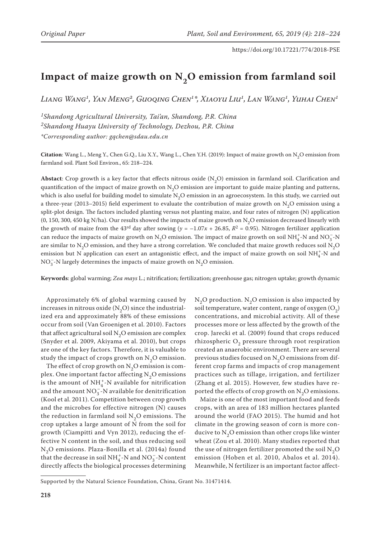# Impact of maize growth on N<sub>2</sub>O emission from farmland soil

*Liang Wang1, Yan Meng2, Guoqing Chen1\*, Xiaoyu Liu1, Lan Wang1, Yuhai Chen1*

*1Shandong Agricultural University, Tai'an, Shandong, P.R. China 2Shandong Huayu University of Technology, Dezhou, P.R. China \*Corresponding author: gqchen@sdau.edu.cn*

**Citation**: Wang L., Meng Y., Chen G.Q., Liu X.Y., Wang L., Chen Y.H. (2019): Impact of maize growth on  $N^2$ O emission from farmland soil. Plant Soil Environ., 65: 218–224.

**Abstact**: Crop growth is a key factor that effects nitrous oxide  $(N, O)$  emission in farmland soil. Clarification and quantification of the impact of maize growth on  $N<sub>2</sub>O$  emission are important to guide maize planting and patterns, which is also useful for building model to simulate  $N_2O$  emission in an agroecosystem. In this study, we carried out a three-year (2013–2015) field experiment to evaluate the contribution of maize growth on  $N_2O$  emission using a split-plot design. The factors included planting versus not planting maize, and four rates of nitrogen (N) application (0, 150, 300, 450 kg N/ha). Our results showed the impacts of maize growth on  $N<sub>2</sub>O$  emission decreased linearly with the growth of maize from the 43<sup>rd</sup> day after sowing ( $y = -1.07x + 26.85$ ,  $R^2 = 0.95$ ). Nitrogen fertilizer application can reduce the impacts of maize growth on N<sub>2</sub>O emission. The impact of maize growth on soil NH<sup>+</sup><sub>4</sub>-N and NO<sub>3</sub>-N are similar to N<sub>2</sub>O emission, and they have a strong correlation. We concluded that maize growth reduces soil N<sub>2</sub>O emission but N application can exert an antagonistic effect, and the impact of maize growth on soil  $NH_4^+$ -N and  $\mathrm{NO_3^{-1}N}$  largely determines the impacts of maize growth on  $\mathrm{N_2O}$  emission.

**Keywords**: global warming; *Zea mays* L.; nitrification; fertilization; greenhouse gas; nitrogen uptake; growth dynamic

Approximately 6% of global warming caused by increases in nitrous oxide  $(N_2O)$  since the industrialized era and approximately 88% of these emissions occur from soil (Van Groenigen et al. 2010). Factors that affect agricultural soil  $N<sub>2</sub>O$  emission are complex (Snyder et al. 2009, Akiyama et al. 2010), but crops are one of the key factors. Therefore, it is valuable to study the impact of crops growth on  $N<sub>2</sub>O$  emission.

The effect of crop growth on  $N_2O$  emission is complex. One important factor affecting  $N<sub>2</sub>O$  emissions is the amount of  $NH_4^+$ -N available for nitrification and the amount NO<sub>3</sub>-N available for denitrification (Kool et al. 2011). Competition between crop growth and the microbes for effective nitrogen (N) causes the reduction in farmland soil  $N_2O$  emissions. The crop uptakes a large amount of N from the soil for growth (Ciampitti and Vyn 2012), reducing the effective N content in the soil, and thus reducing soil  $N<sub>2</sub>O$  emissions. Plaza-Bonilla et al. (2014a) found that the decrease in soil NH<sup>+</sup><sub>4</sub><sup>-</sup>N and NO<sub>3</sub><sup>-</sup>N content directly affects the biological processes determining

 $N_2O$  production.  $N_2O$  emission is also impacted by soil temperature, water content, range of oxygen  $(O_2)$ concentrations, and microbial activity. All of these processes more or less affected by the growth of the crop. Jarecki et al. (2009) found that crops reduced rhizospheric  $O<sub>2</sub>$  pressure through root respiration created an anaerobic environment. There are several previous studies focused on  $N<sub>2</sub>O$  emissions from different crop farms and impacts of crop management practices such as tillage, irrigation, and fertilizer (Zhang et al. 2015). However, few studies have reported the effects of crop growth on  $N_2O$  emissions.

Maize is one of the most important food and feeds crops, with an area of 183 million hectares planted around the world (FAO 2015). The humid and hot climate in the growing season of corn is more conducive to  $N<sub>2</sub>O$  emission than other crops like winter wheat (Zou et al. 2010). Many studies reported that the use of nitrogen fertilizer promoted the soil  $N_2O$ emission (Hoben et al. 2010, Abalos et al. 2014). Meanwhile, N fertilizer is an important factor affect-

Supported by the Natural Science Foundation, China, Grant No. 31471414.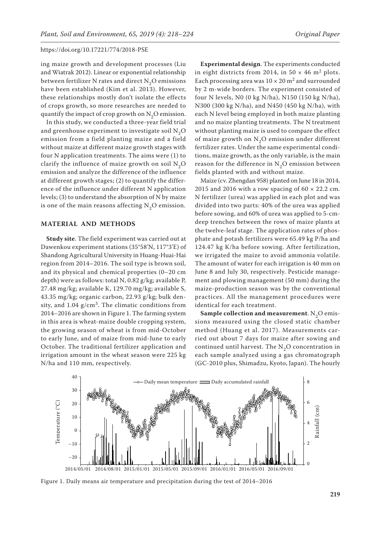ing maize growth and development processes (Liu and Wiatrak 2012). Linear or exponential relationship between fertilizer N rates and direct  $N_2O$  emissions have been established (Kim et al. 2013). However, these relationships mostly don't isolate the effects of crops growth, so more researches are needed to quantify the impact of crop growth on  $N_2O$  emission.

In this study, we conducted a three-year field trial and greenhouse experiment to investigate soil  $N_2O$ emission from a field planting maize and a field without maize at different maize growth stages with four N application treatments. The aims were (1) to clarify the influence of maize growth on soil  $N_2O$ emission and analyze the difference of the influence at different growth stages; (2) to quantify the difference of the influence under different N application levels; (3) to understand the absorption of N by maize is one of the main reasons affecting  $N_2O$  emission.

## **MATERIAL AND METHODS**

**Study site**. The field experiment was carried out at Dawenkou experiment stations (35°58'N, 117°3'E) of Shandong Agricultural University in Huang-Huai-Hai region from 2014–2016. The soil type is brown soil, and its physical and chemical properties (0–20 cm depth) were as follows: total N, 0.82 g/kg; available P, 27.48 mg/kg; available K, 129.70 mg/kg; available S, 43.35 mg/kg; organic carbon, 22.93 g/kg; bulk density, and  $1.04$  g/cm<sup>3</sup>. The climatic conditions from 2014–2016 are shown in Figure 1. The farming system in this area is wheat-maize double cropping system, the growing season of wheat is from mid-October to early June, and of maize from mid-June to early October. The traditional fertilizer application and irrigation amount in the wheat season were 225 kg N/ha and 110 mm, respectively.

**Experimental design**. The experiments conducted in eight districts from 2014, in 50  $\times$  46 m<sup>2</sup> plots. Each processing area was  $10 \times 20$  m<sup>2</sup> and surrounded by 2 m-wide borders. The experiment consisted of four N levels, N0 (0 kg N/ha), N150 (150 kg N/ha), N300 (300 kg N/ha), and N450 (450 kg N/ha), with each N level being employed in both maize planting and no maize planting treatments. The N treatment without planting maize is used to compare the effect of maize growth on  $N<sub>2</sub>O$  emission under different fertilizer rates. Under the same experimental conditions, maize growth, as the only variable, is the main reason for the difference in  $N<sub>2</sub>O$  emission between fields planted with and without maize.

Maize (cv. Zhengdan 958) planted on June 18 in 2014, 2015 and 2016 with a row spacing of  $60 \times 22.2$  cm. N fertilizer (urea) was applied in each plot and was divided into two parts: 40% of the urea was applied before sowing, and 60% of urea was applied to 5-cmdeep trenches between the rows of maize plants at the twelve-leaf stage. The application rates of phosphate and potash fertilizers were 65.49 kg P/ha and 124.47 kg K/ha before sowing. After fertilization, we irrigated the maize to avoid ammonia volatile. The amount of water for each irrigation is 40 mm on June 8 and July 30, respectively. Pesticide management and plowing management (50 mm) during the maize-production season was by the conventional practices. All the management procedures were identical for each treatment.

**Sample collection and measurement**. N<sub>2</sub>O emissions measured using the closed static chamber method (Huang et al. 2017). Measurements carried out about 7 days for maize after sowing and continued until harvest. The  $N<sub>2</sub>O$  concentration in each sample analyzed using a gas chromatograph (GC-2010 plus, Shimadzu, Kyoto, Japan). The hourly



Figure 1. Daily means air temperature and precipitation during the test of 2014–2016  $\,$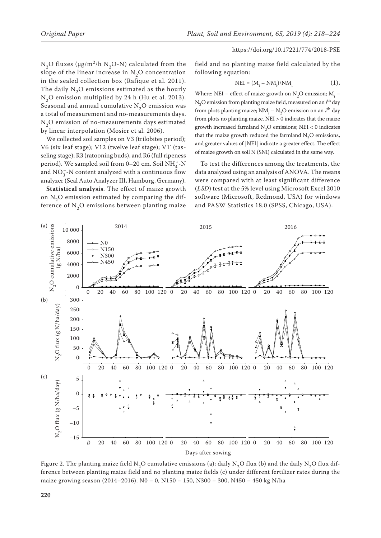N<sub>2</sub>O fluxes ( $\mu$ g/m<sup>2</sup>/h N<sub>2</sub>O-N) calculated from the slope of the linear increase in  $N_2O$  concentration in the sealed collection box (Rafique et al. 2011). The daily  $N<sub>2</sub>O$  emissions estimated as the hourly  $N<sub>2</sub>O$  emission multiplied by 24 h (Hu et al. 2013). Seasonal and annual cumulative  $N<sub>2</sub>O$  emission was a total of measurement and no-measurements days.  $N<sub>2</sub>O$  emission of no-measurements days estimated by linear interpolation (Mosier et al. 2006).

We collected soil samples on V3 (trilobites period); V6 (six leaf stage); V12 (twelve leaf stage); VT (tasseling stage); R3 (ratooning buds), and R6 (full ripeness period). We sampled soil from 0–20 cm. Soil  $NH_4^+$ -N and  $\mathrm{NO_3^-}$  -N content analyzed with a continuous flow analyzer (Seal Auto Analyzer III, Hamburg, Germany).

**Statistical analysis**. The effect of maize growth on  $N<sub>2</sub>O$  emission estimated by comparing the difference of  $N_2O$  emissions between planting maize field and no planting maize field calculated by the following equation:

$$
NEI = (M_i - NM_i)/NM_i \tag{1}
$$

Where: NEI – effect of maize growth on  $N_2O$  emission;  $M_i$  –  $N_2$ O emission from planting maize field, measured on an *i*<sup>th</sup> day from plots planting maize;  $NM_i - N_2O$  emission on an  $i<sup>th</sup>$  day from plots no planting maize. NEI > 0 indicates that the maize growth increased farmland  $N_2O$  emissions; NEI < 0 indicates that the maize growth reduced the farmland  $N_2O$  emissions, and greater values of |NEI| indicate a greater effect. The effect of maize growth on soil N (SNI) calculated in the same way.

To test the differences among the treatments, the data analyzed using an analysis of ANOVA. The means were compared with at least significant difference (*LSD*) test at the 5% level using Microsoft Excel 2010 software (Microsoft, Redmond, USA) for windows and PASW Statistics 18.0 (SPSS, Chicago, USA).



Figure 2. The planting maize field N<sub>2</sub>O cumulative emissions (a); daily N<sub>2</sub>O flux (b) and the daily N<sub>2</sub>O flux difference between planting maize field and no planting maize fields (c) under different fertilizer rates during the maize growing season (2014–2016). N0 – 0, N150 – 150, N300 – 300, N450 – 450 kg N/ha  $\ddot{c}$  between planting maize fields (C) under different fertilizer rates (C) under different fertilizer rates (C) under different fertilizer rates (C) under different fertilizer rates (C) under different fertilizer rat during maize neius (c) under um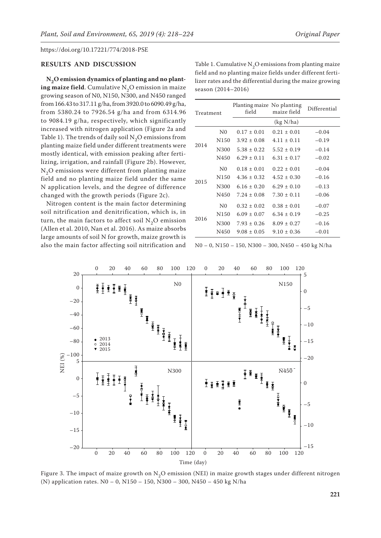### **RESULTS AND DISCUSSION**

**N2O emission dynamics of planting and no planting maize field**. Cumulative  $N<sub>2</sub>O$  emission in maize growing season of N0, N150, N300, and N450 ranged from 166.43 to 317.11 g/ha, from 3920.0 to 6090.49 g/ha, from 5380.24 to 7926.54 g/ha and from 6314.96 to 9084.19 g/ha, respectively, which significantly increased with nitrogen application (Figure 2a and Table 1). The trends of daily soil  $N_2O$  emissions from planting maize field under different treatments were mostly identical, with emission peaking after fertilizing, irrigation, and rainfall (Figure 2b). However,  $N<sub>2</sub>O$  emissions were different from planting maize field and no planting maize field under the same N application levels, and the degree of difference changed with the growth periods (Figure 2c).

Nitrogen content is the main factor determining soil nitrification and denitrification, which is, in turn, the main factors to affect soil  $N_2O$  emission (Allen et al. 2010, Nan et al. 2016). As maize absorbs large amounts of soil N for growth, maize growth is also the main factor affecting soil nitrification and

Table 1. Cumulative  $\mathrm{N}_2\mathrm{O}$  emissions from planting maize field and no planting maize fields under different fertilizer rates and the differential during the maize growing season (2014–2016)

| Treatment |                  | Planting maize No planting<br>field | maize field     | Differential |
|-----------|------------------|-------------------------------------|-----------------|--------------|
|           |                  |                                     | (kg N/ha)       |              |
| 2014      | N <sub>0</sub>   | $0.17 \pm 0.01$                     | $0.21 \pm 0.01$ | $-0.04$      |
|           | N <sub>150</sub> | $3.92 \pm 0.08$                     | $4.11 \pm 0.11$ | $-0.19$      |
|           | N300             | $5.38 \pm 0.22$                     | $5.52 \pm 0.19$ | $-0.14$      |
|           | N450             | $6.29 \pm 0.11$                     | $6.31 \pm 0.17$ | $-0.02$      |
| 2015      | N <sub>0</sub>   | $0.18 \pm 0.01$                     | $0.22 \pm 0.01$ | $-0.04$      |
|           | N <sub>150</sub> | $4.36 \pm 0.32$                     | $4.52 \pm 0.30$ | $-0.16$      |
|           | N300             | $6.16 \pm 0.20$                     | $6.29 \pm 0.10$ | $-0.13$      |
|           | N450             | $7.24 \pm 0.08$                     | $7.30 \pm 0.11$ | $-0.06$      |
| 2016      | N <sub>0</sub>   | $0.32 \pm 0.02$                     | $0.38 \pm 0.01$ | $-0.07$      |
|           | N <sub>150</sub> | $6.09 \pm 0.07$                     | $6.34 \pm 0.19$ | $-0.25$      |
|           | N300             | $7.93 \pm 0.26$                     | $8.09 \pm 0.27$ | $-0.16$      |
|           | N450             | $9.08 \pm 0.05$                     | $9.10 \pm 0.36$ | $-0.01$      |

N0 – 0, N150 – 150, N300 – 300, N450 – 450 kg N/ha



Figure 3. The impact of maize growth on  $N_2O$  emission (NEI) in maize growth stages under different nitrogen  $(3)$ (N) application rates. N0 – 0, N150 – 150, N300 – 300, N450 – 450 kg N/ha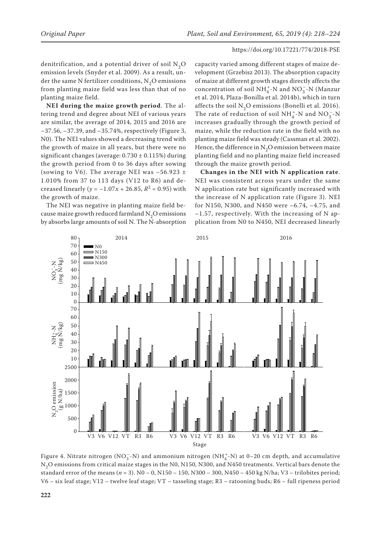denitrification, and a potential driver of soil  $N_2O$ emission levels (Snyder et al. 2009). As a result, under the same N fertilizer conditions,  $N_2O$  emissions from planting maize field was less than that of no planting maize field.

**NEI during the maize growth period**. The altering trend and degree about NEI of various years are similar, the average of 2014, 2015 and 2016 are –37.56, –37.39, and –35.74%, respectively (Figure 3, N0). The NEI values showed a decreasing trend with the growth of maize in all years, but there were no significant changes (average:  $0.730 \pm 0.115\%$ ) during the growth period from 0 to 36 days after sowing (sowing to V6). The average NEI was  $-56.923 \pm$ 1.010% from 37 to 113 days (V12 to R6) and decreased linearly ( $y = -1.07x + 26.85$ ,  $R^2 = 0.95$ ) with the growth of maize.

The NEI was negative in planting maize field because maize growth reduced farmland  $N_2O$  emissions by absorbs large amounts of soil N. The N-absorption

capacity varied among different stages of maize development (Grzebisz 2013). The absorption capacity of maize at different growth stages directly affects the concentration of soil  $\mathrm{NH}_4^+$  N and  $\mathrm{NO_3^-}$  -N (Manzur et al. 2014, Plaza-Bonilla et al. 2014b), which in turn affects the soil  $N_2O$  emissions (Bonelli et al. 2016). The rate of reduction of soil  $NH_4^+$ -N and  $NO_3^-$ -N increases gradually through the growth period of maize, while the reduction rate in the field with no planting maize field was steady (Cassman et al. 2002). Hence, the difference in  $N_2O$  emission between maize planting field and no planting maize field increased through the maize growth period.

**Changes in the NEI with N application rate**. NEI was consistent across years under the same N application rate but significantly increased with the increase of N application rate (Figure 3). NEI for N150, N300, and N450 were –6.74, –4.75, and  $-1.57$ , respectively. With the increasing of N application from N0 to N450, NEI decreased linearly



Figure 4. Nitrate nitrogen (NO $_3^-$ -N) and ammonium nitrogen (NH $_4^+$ -N) at 0–20 cm depth, and accumulative  $N_2$ O emissions from critical maize stages in the N0, N150, N300, and N450 treatments. Vertical bars denote the standard error of the means (*n* = 3). N0 – 0, N150 – 150, N300 – 300, N450 – 450 kg N/ha; V3 – trilobites period; V6 – six leaf stage; V12 – twelve leaf stage; VT – tasseling stage; R3 – ratooning buds; R6 – full ripeness period  $\epsilon$ s in the two, typo, typo, and typo the  $\alpha$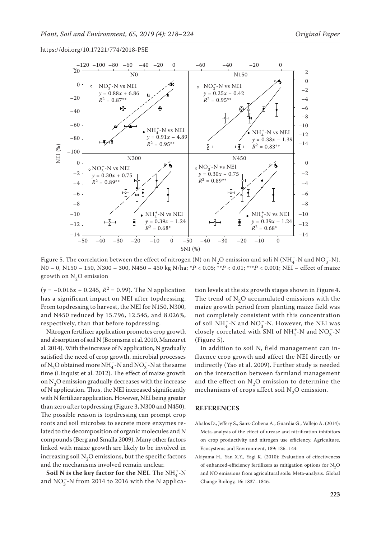

Figure 5. The correlation between the effect of nitrogen (N) on N<sub>2</sub>O emission and soli N (NH<sup>+</sup>-N and NO<sub>3</sub>-N).<br>N<sub>2</sub> and NO<sub>3</sub> and NO<sub>3</sub> and NO<sub>3</sub> and NO<sub>3</sub> and NO<sub>3</sub> and A<sub>2</sub> and A<sub>2</sub> and A<sub>2</sub> and A<sub>2</sub> and NO<sub>3</sub> and A<sub>2</sub> No – 0, N150 – 150, N300 – 300, N450 – 450 kg N/ha; \**P* < 0.05; \*\**P* < 0.01; \*\*\**P* < 0.001; NEI – effect of maize growth on  $N_2O$  emission

 $(y = -0.016x + 0.245, R^2 = 0.99)$ . The N application has a significant impact on NEI after topdressing. From topdressing to harvest, the NEI for N150, N300, and N450 reduced by 15.796, 12.545, and 8.026%, respectively, than that before topdressing.

Nitrogen fertilizer application promotes crop growth and absorption of soil N (Boomsma et al. 2010, Manzur et al. 2014). With the increase of N application, N gradually satisfied the need of crop growth, microbial processes of  $\mathrm{N}_2\mathrm{O}$  obtained more NH  $_4^+$  -N and NO  $_3^-$  -N at the same time (Linquist et al. 2012). The effect of maize growth on  $N_2O$  emission gradually decreases with the increase of N application. Thus, the NEI increased significantly with N fertilizer application. However, NEI being greater than zero after topdressing (Figure 3, N300 and N450). The possible reason is topdressing can prompt crop roots and soil microbes to secrete more enzymes related to the decomposition of organic molecules and N compounds (Berg and Smalla 2009). Many other factors linked with maize growth are likely to be involved in increasing soil  $N<sub>2</sub>O$  emissions, but the specific factors and the mechanisms involved remain unclear.

**Soil N is the key factor for the NEI**. The  $NH_4^+$ -N and  $NO_3^-$ -N from 2014 to 2016 with the N application levels at the six growth stages shown in Figure 4. The trend of  $N<sub>2</sub>O$  accumulated emissions with the maize growth period from planting maize field was not completely consistent with this concentration of soil  $\mathrm{NH}_4^+$ -N and  $\mathrm{NO_3^-}$ -N. However, the NEI was closely correlated with SNI of NH<sub>4</sub><sup>-</sup>N and NO<sub>3</sub><sup>-</sup>N (Figure 5).

In addition to soil N, field management can influence crop growth and affect the NEI directly or indirectly (Yao et al. 2009). Further study is needed on the interaction between farmland management and the effect on  $N<sub>2</sub>O$  emission to determine the mechanisms of crops affect soil  $N_2O$  emission.

### **REFERENCES**

- Abalos D., Jeffery S., Sanz-Cobena A., Guardia G., Vallejo A. (2014): Meta-analysis of the effect of urease and nitrification inhibitors on crop productivity and nitrogen use efficiency. Agriculture, Ecosystems and Environment, 189: 136–144.
- Akiyama H., Yan X.Y., Yagi K. (2010): Evaluation of effectiveness of enhanced-efficiency fertilizers as mitigation options for N<sub>2</sub>O and NO emissions from agricultural soils: Meta-analysis. Global Change Biology, 16: 1837–1846.